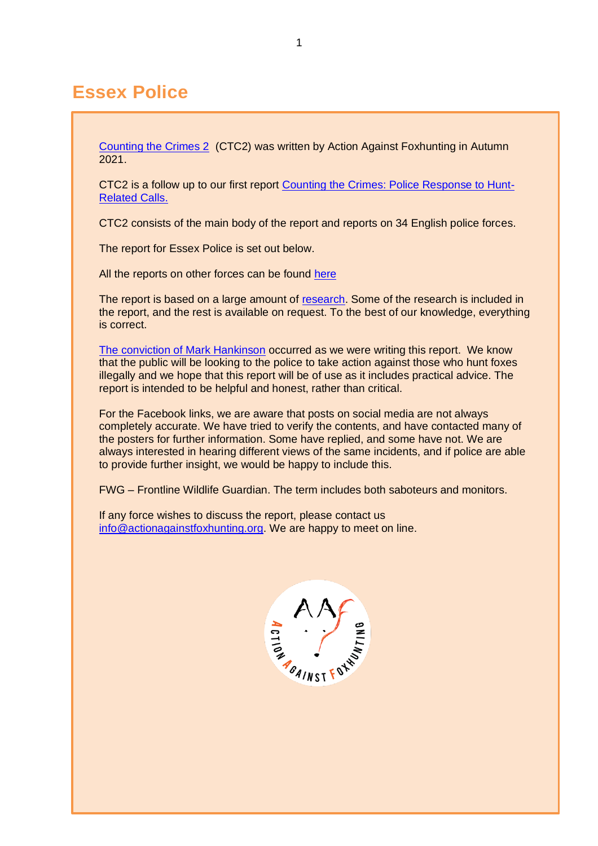# **Essex Police**

[Counting the Crimes 2](https://www.actionagainstfoxhunting.org/counting-the-crimes2-the-police-response/) (CTC2) was written by Action Against Foxhunting in Autumn 2021.

CTC2 is a follow up to our first report [Counting the Crimes: Police Response to Hunt-](https://www.actionagainstfoxhunting.org/counting-the-crimes/)[Related Calls.](https://www.actionagainstfoxhunting.org/counting-the-crimes/)

CTC2 consists of the main body of the report and reports on 34 English police forces.

The report for Essex Police is set out below.

All the reports on other forces can be found [here](https://www.actionagainstfoxhunting.org/counting-the-crimes2-the-police-response/)

The report is based on a large amount of [research.](https://www.actionagainstfoxhunting.org/wp-content/uploads/2021/11/A-1411-Research-for-CTC2.pdf) Some of the research is included in the report, and the rest is available on request. To the best of our knowledge, everything is correct.

[The conviction of Mark Hankinson](https://www.league.org.uk/news-and-resources/news/hunting-office-webinars-the-road-to-conviction/) occurred as we were writing this report. We know that the public will be looking to the police to take action against those who hunt foxes illegally and we hope that this report will be of use as it includes practical advice. The report is intended to be helpful and honest, rather than critical.

For the Facebook links, we are aware that posts on social media are not always completely accurate. We have tried to verify the contents, and have contacted many of the posters for further information. Some have replied, and some have not. We are always interested in hearing different views of the same incidents, and if police are able to provide further insight, we would be happy to include this.

FWG – Frontline Wildlife Guardian. The term includes both saboteurs and monitors.

If any force wishes to discuss the report, please contact us [info@actionagainstfoxhunting.org.](mailto:info@actionagainstfoxhunting.org) We are happy to meet on line.

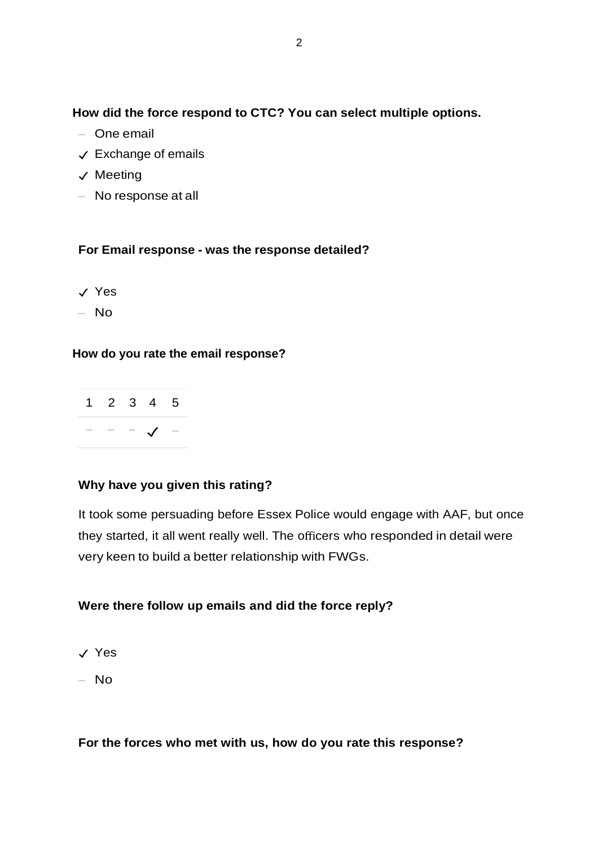**How did the force respond to CTC? You can select multiple options.**

- One email
- ✓ Exchange of emails
- ✓ Meeting
- No response at all

## **For Email response - was the response detailed?**

- ✓ Yes
- No

## **How do you rate the email response?**



## **Why have you given this rating?**

It took some persuading before Essex Police would engage with AAF, but once they started, it all went really well. The officers who responded in detail were very keen to build a better relationship with FWGs.

## **Were there follow up emails and did the force reply?**

- ✓ Yes
- No

## **For the forces who met with us, how do you rate this response?**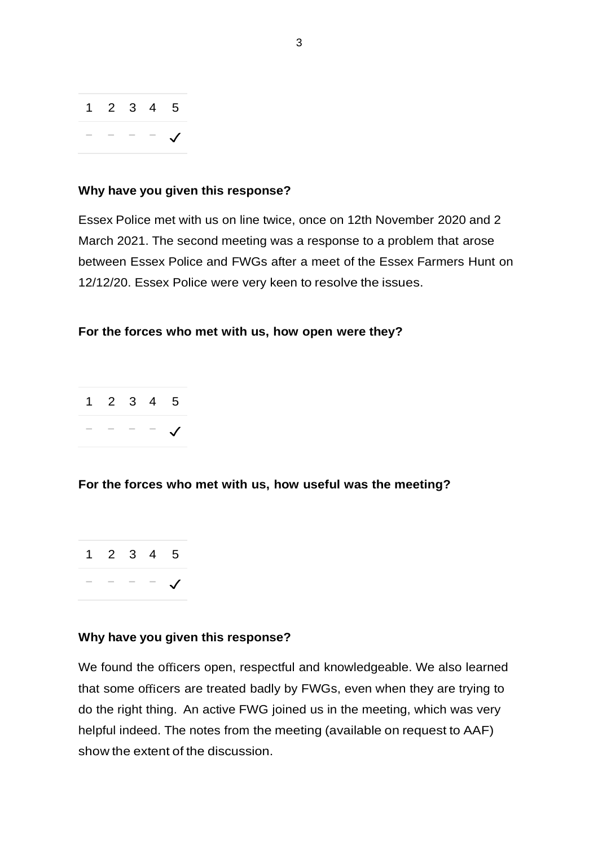| $1 \t2 \t3 \t4 \t5$ |  |  |
|---------------------|--|--|
|                     |  |  |

#### **Why have you given this response?**

Essex Police met with us on line twice, once on 12th November 2020 and 2 March 2021. The second meeting was a response to a problem that arose between Essex Police and FWGs after a meet of the Essex Farmers Hunt on 12/12/20. Essex Police were very keen to resolve the issues.

#### **For the forces who met with us, how open were they?**

|     | $1\quad 2\quad 3\quad 4\quad 5$ |              |  |
|-----|---------------------------------|--------------|--|
| $-$ |                                 | $  \sqrt{ }$ |  |

### **For the forces who met with us, how useful was the meeting?**



#### **Why have you given this response?**

We found the officers open, respectful and knowledgeable. We also learned that some officers are treated badly by FWGs, even when they are trying to do the right thing. An active FWG joined us in the meeting, which was very helpful indeed. The notes from the meeting (available on request to AAF) show the extent of the discussion.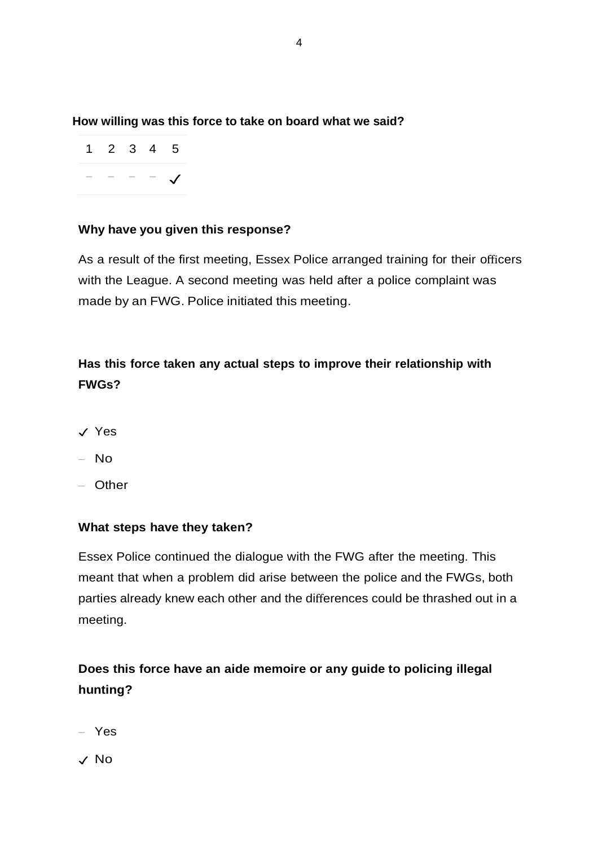**How willing was this force to take on board what we said?**

|     |                                                  |  | $1 \quad 2 \quad 3 \quad 4 \quad 5$ |
|-----|--------------------------------------------------|--|-------------------------------------|
| $-$ | $\sim$ $\sim$ $\sim$ $\sim$ $\sim$ $\sim$ $\sim$ |  |                                     |

## **Why have you given this response?**

As a result of the first meeting, Essex Police arranged training for their officers with the League. A second meeting was held after a police complaint was made by an FWG. Police initiated this meeting.

## **Has this force taken any actual steps to improve their relationship with FWGs?**

- ✓ Yes
- No
- Other

## **What steps have they taken?**

Essex Police continued the dialogue with the FWG after the meeting. This meant that when a problem did arise between the police and the FWGs, both parties already knew each other and the differences could be thrashed out in a meeting.

## **Does this force have an aide memoire or any guide to policing illegal hunting?**

- Yes
- ✓ No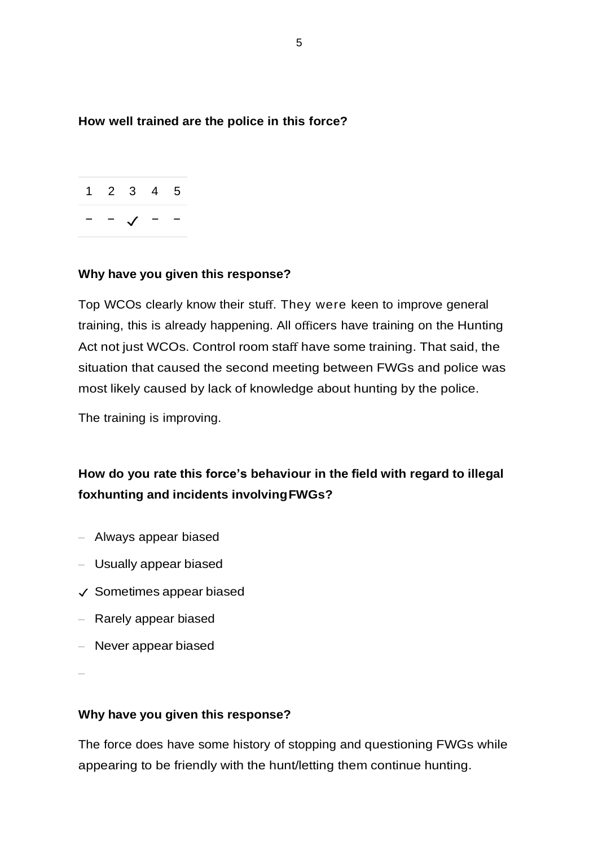**How well trained are the police in this force?**



### **Why have you given this response?**

Top WCOs clearly know their stuff. They were keen to improve general training, this is already happening. All officers have training on the Hunting Act not just WCOs. Control room staff have some training. That said, the situation that caused the second meeting between FWGs and police was most likely caused by lack of knowledge about hunting by the police.

The training is improving.

## **How do you rate this force's behaviour in the field with regard to illegal foxhunting and incidents involvingFWGs?**

- Always appear biased
- Usually appear biased
- ✓ Sometimes appear biased
- Rarely appear biased
- Never appear biased

–

### **Why have you given this response?**

The force does have some history of stopping and questioning FWGs while appearing to be friendly with the hunt/letting them continue hunting.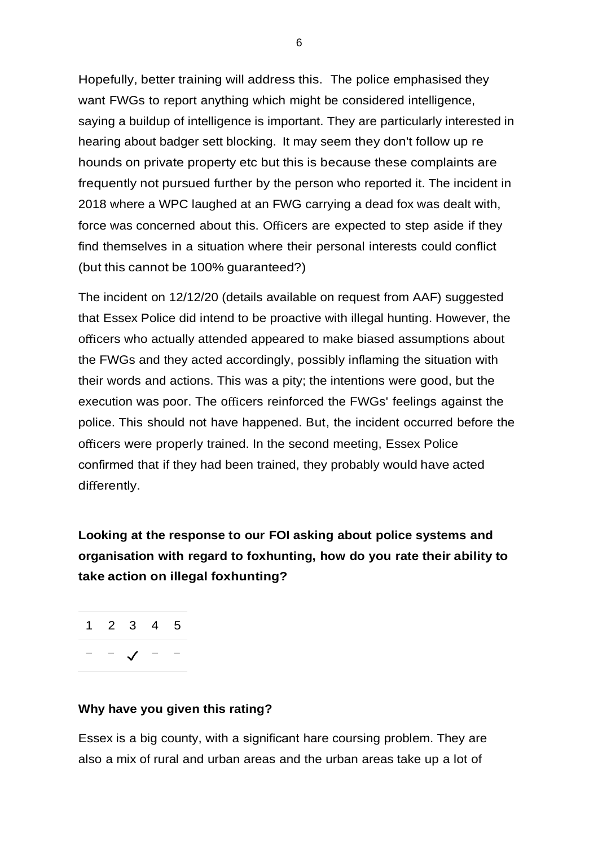Hopefully, better training will address this. The police emphasised they want FWGs to report anything which might be considered intelligence, saying a buildup of intelligence is important. They are particularly interested in hearing about badger sett blocking. It may seem they don't follow up re hounds on private property etc but this is because these complaints are frequently not pursued further by the person who reported it. The incident in 2018 where a WPC laughed at an FWG carrying a dead fox was dealt with, force was concerned about this. Officers are expected to step aside if they find themselves in a situation where their personal interests could conflict (but this cannot be 100% guaranteed?)

The incident on 12/12/20 (details available on request from AAF) suggested that Essex Police did intend to be proactive with illegal hunting. However, the officers who actually attended appeared to make biased assumptions about the FWGs and they acted accordingly, possibly inflaming the situation with their words and actions. This was a pity; the intentions were good, but the execution was poor. The officers reinforced the FWGs' feelings against the police. This should not have happened. But, the incident occurred before the officers were properly trained. In the second meeting, Essex Police confirmed that if they had been trained, they probably would have acted differently.

**Looking at the response to our FOI asking about police systems and organisation with regard to foxhunting, how do you rate their ability to take action on illegal foxhunting?**

1 2 3 4 5 − − ✓ − −

### **Why have you given this rating?**

Essex is a big county, with a significant hare coursing problem. They are also a mix of rural and urban areas and the urban areas take up a lot of

6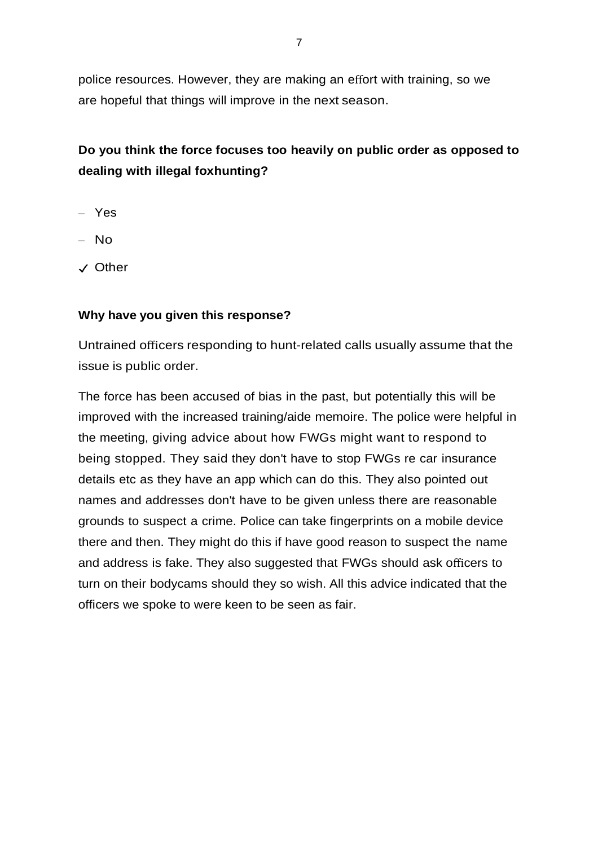police resources. However, they are making an effort with training, so we are hopeful that things will improve in the next season.

## **Do you think the force focuses too heavily on public order as opposed to dealing with illegal foxhunting?**

- Yes
- $-$  No
- ✓ Other

### **Why have you given this response?**

Untrained officers responding to hunt-related calls usually assume that the issue is public order.

The force has been accused of bias in the past, but potentially this will be improved with the increased training/aide memoire. The police were helpful in the meeting, giving advice about how FWGs might want to respond to being stopped. They said they don't have to stop FWGs re car insurance details etc as they have an app which can do this. They also pointed out names and addresses don't have to be given unless there are reasonable grounds to suspect a crime. Police can take fingerprints on a mobile device there and then. They might do this if have good reason to suspect the name and address is fake. They also suggested that FWGs should ask officers to turn on their bodycams should they so wish. All this advice indicated that the officers we spoke to were keen to be seen as fair.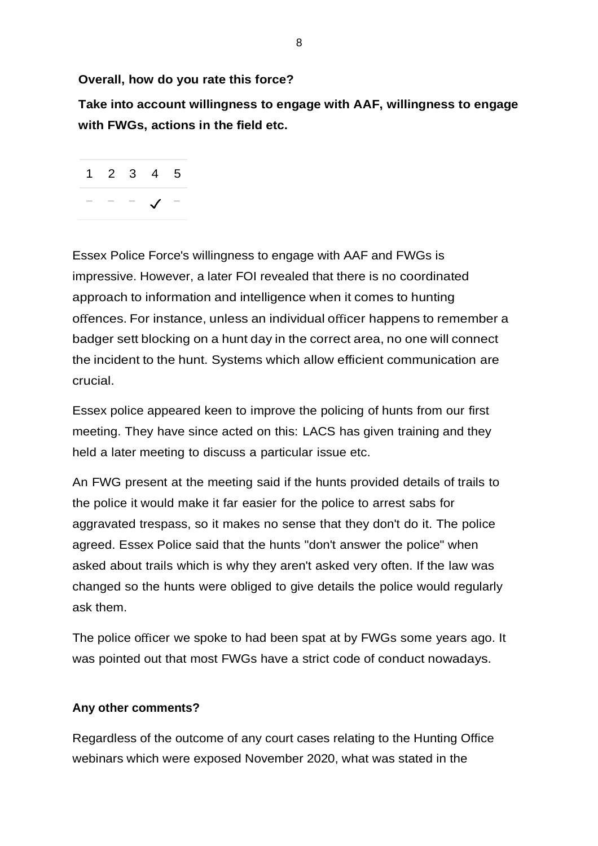**Overall, how do you rate this force?**

**Take into account willingness to engage with AAF, willingness to engage with FWGs, actions in the field etc.**



Essex Police Force's willingness to engage with AAF and FWGs is impressive. However, a later FOI revealed that there is no coordinated approach to information and intelligence when it comes to hunting offences. For instance, unless an individual officer happens to remember a badger sett blocking on a hunt day in the correct area, no one will connect the incident to the hunt. Systems which allow efficient communication are crucial.

Essex police appeared keen to improve the policing of hunts from our first meeting. They have since acted on this: LACS has given training and they held a later meeting to discuss a particular issue etc.

An FWG present at the meeting said if the hunts provided details of trails to the police it would make it far easier for the police to arrest sabs for aggravated trespass, so it makes no sense that they don't do it. The police agreed. Essex Police said that the hunts "don't answer the police" when asked about trails which is why they aren't asked very often. If the law was changed so the hunts were obliged to give details the police would regularly ask them.

The police officer we spoke to had been spat at by FWGs some years ago. It was pointed out that most FWGs have a strict code of conduct nowadays.

### **Any other comments?**

Regardless of the outcome of any court cases relating to the Hunting Office webinars which were exposed November 2020, what was stated in the

8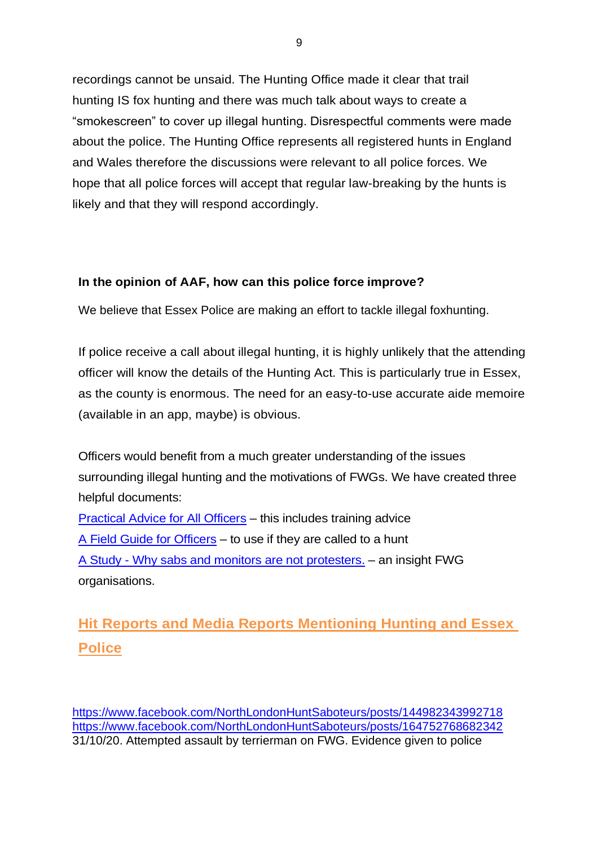recordings cannot be unsaid. The Hunting Office made it clear that trail hunting IS fox hunting and there was much talk about ways to create a "smokescreen" to cover up illegal hunting. Disrespectful comments were made about the police. The Hunting Office represents all registered hunts in England and Wales therefore the discussions were relevant to all police forces. We hope that all police forces will accept that regular law-breaking by the hunts is likely and that they will respond accordingly.

## **In the opinion of AAF, how can this police force improve?**

We believe that Essex Police are making an effort to tackle illegal foxhunting.

If police receive a call about illegal hunting, it is highly unlikely that the attending officer will know the details of the Hunting Act. This is particularly true in Essex, as the county is enormous. The need for an easy-to-use accurate aide memoire (available in an app, maybe) is obvious.

Officers would benefit from a much greater understanding of the issues surrounding illegal hunting and the motivations of FWGs. We have created three helpful documents: [Practical Advice for All Officers](https://www.actionagainstfoxhunting.org/wp-content/uploads/2021/11/B-1411-Practical-Advice-for-all-Police-Forces.pdf) – this includes training advice [A Field Guide for Officers](https://www.actionagainstfoxhunting.org/wp-content/uploads/2021/11/A-1411-FIELD-GUIDE-ILLEGAL-FOXHUNTING.pdf) – to use if they are called to a hunt A Study - [Why sabs and monitors are not protesters.](https://www.actionagainstfoxhunting.org/wp-content/uploads/2021/11/A-1411-Why-sabs-and-monitors-arent-protesters.pdf) – an insight FWG organisations.

# **Hit Reports and Media Reports Mentioning Hunting and Essex Police**

<https://www.facebook.com/NorthLondonHuntSaboteurs/posts/144982343992718> <https://www.facebook.com/NorthLondonHuntSaboteurs/posts/164752768682342> 31/10/20. Attempted assault by terrierman on FWG. Evidence given to police